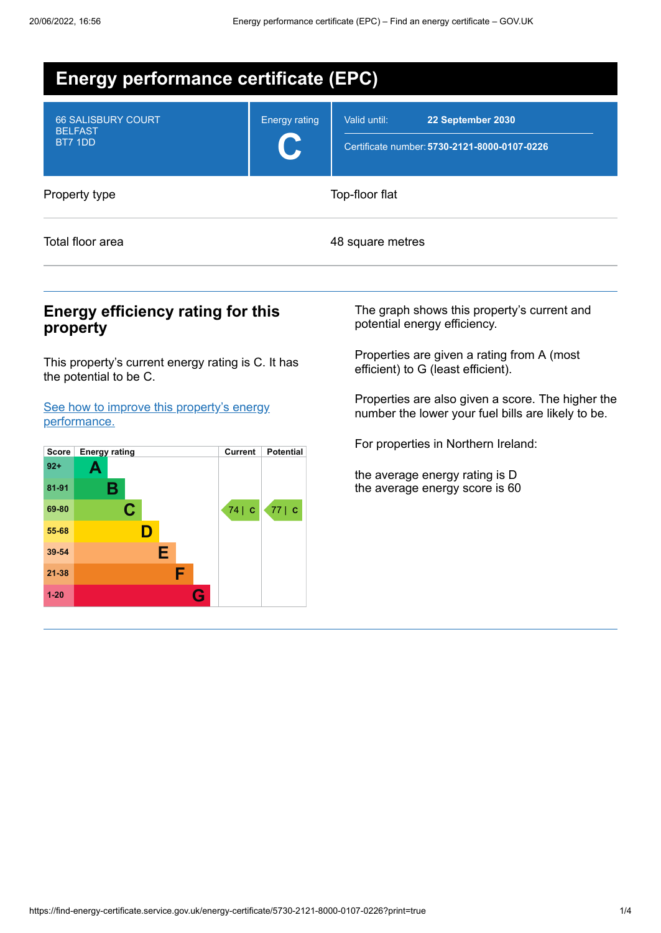| <b>Energy performance certificate (EPC)</b>            |                      |                                                                                   |  |  |  |
|--------------------------------------------------------|----------------------|-----------------------------------------------------------------------------------|--|--|--|
| <b>66 SALISBURY COURT</b><br><b>BELFAST</b><br>BT7 1DD | <b>Energy rating</b> | Valid until:<br>22 September 2030<br>Certificate number: 5730-2121-8000-0107-0226 |  |  |  |
| Property type                                          |                      | Top-floor flat                                                                    |  |  |  |
| Total floor area                                       |                      | 48 square metres                                                                  |  |  |  |

## **Energy efficiency rating for this property**

This property's current energy rating is C. It has the potential to be C.

See how to improve this property's energy [performance.](#page-2-0)



The graph shows this property's current and potential energy efficiency.

Properties are given a rating from A (most efficient) to G (least efficient).

Properties are also given a score. The higher the number the lower your fuel bills are likely to be.

For properties in Northern Ireland:

the average energy rating is D the average energy score is 60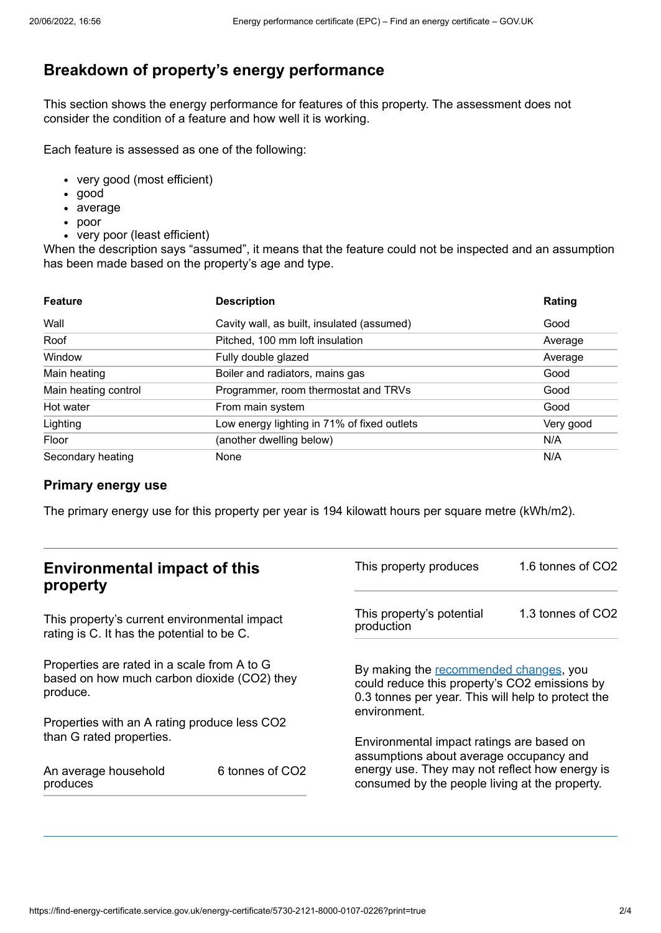# **Breakdown of property's energy performance**

This section shows the energy performance for features of this property. The assessment does not consider the condition of a feature and how well it is working.

Each feature is assessed as one of the following:

- very good (most efficient)
- good
- average
- poor
- very poor (least efficient)

When the description says "assumed", it means that the feature could not be inspected and an assumption has been made based on the property's age and type.

| <b>Feature</b>       | <b>Description</b>                          | Rating    |
|----------------------|---------------------------------------------|-----------|
| Wall                 | Cavity wall, as built, insulated (assumed)  | Good      |
| Roof                 | Pitched, 100 mm loft insulation             | Average   |
| Window               | Fully double glazed                         | Average   |
| Main heating         | Boiler and radiators, mains gas             | Good      |
| Main heating control | Programmer, room thermostat and TRVs        | Good      |
| Hot water            | From main system                            | Good      |
| Lighting             | Low energy lighting in 71% of fixed outlets | Very good |
| Floor                | (another dwelling below)                    | N/A       |
| Secondary heating    | None                                        | N/A       |

#### **Primary energy use**

The primary energy use for this property per year is 194 kilowatt hours per square metre (kWh/m2).

| <b>Environmental impact of this</b><br>property                                                        |                             | This property produces                                                                                                                                                                   | 1.6 tonnes of CO2 |
|--------------------------------------------------------------------------------------------------------|-----------------------------|------------------------------------------------------------------------------------------------------------------------------------------------------------------------------------------|-------------------|
| This property's current environmental impact<br>rating is C. It has the potential to be C.             |                             | This property's potential<br>production                                                                                                                                                  | 1.3 tonnes of CO2 |
| Properties are rated in a scale from A to G<br>based on how much carbon dioxide (CO2) they<br>produce. |                             | By making the recommended changes, you<br>could reduce this property's CO2 emissions by<br>0.3 tonnes per year. This will help to protect the<br>environment.                            |                   |
| Properties with an A rating produce less CO2                                                           |                             |                                                                                                                                                                                          |                   |
| than G rated properties.<br>An average household<br>produces                                           | 6 tonnes of CO <sub>2</sub> | Environmental impact ratings are based on<br>assumptions about average occupancy and<br>energy use. They may not reflect how energy is<br>consumed by the people living at the property. |                   |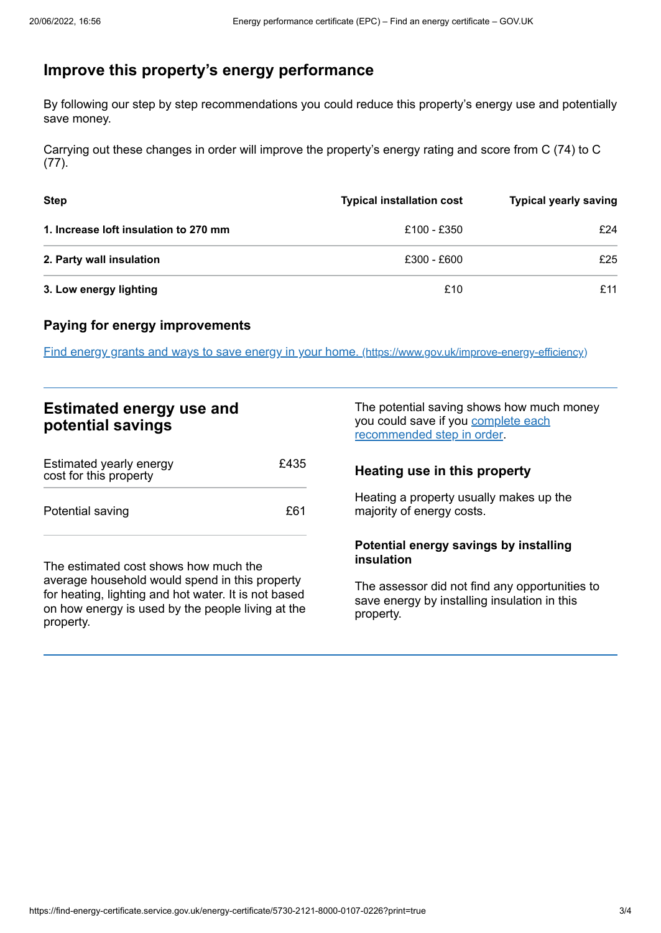# <span id="page-2-0"></span>**Improve this property's energy performance**

By following our step by step recommendations you could reduce this property's energy use and potentially save money.

Carrying out these changes in order will improve the property's energy rating and score from C (74) to C (77).

| <b>Step</b>                           | <b>Typical installation cost</b> | <b>Typical yearly saving</b> |
|---------------------------------------|----------------------------------|------------------------------|
| 1. Increase loft insulation to 270 mm | £100 - £350                      | £24                          |
| 2. Party wall insulation              | £300 - £600                      | £25                          |
| 3. Low energy lighting                | £10                              | £11                          |

### **Paying for energy improvements**

Find energy grants and ways to save energy in your home. [\(https://www.gov.uk/improve-energy-efficiency\)](https://www.gov.uk/improve-energy-efficiency)

## **Estimated energy use and potential savings**

| Estimated yearly energy<br>cost for this property | £435 |
|---------------------------------------------------|------|
| Potential saving                                  | £61  |

The estimated cost shows how much the average household would spend in this property for heating, lighting and hot water. It is not based on how energy is used by the people living at the property.

The potential saving shows how much money you could save if you complete each [recommended](#page-2-0) step in order.

## **Heating use in this property**

Heating a property usually makes up the majority of energy costs.

#### **Potential energy savings by installing insulation**

The assessor did not find any opportunities to save energy by installing insulation in this property.